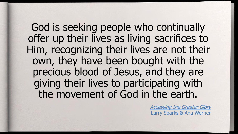God is seeking people who continually offer up their lives as living sacrifices to Him, recognizing their lives are not their own, they have been bought with the precious blood of Jesus, and they are giving their lives to participating with the movement of God in the earth.

> **Accessing the Greater Glory** Larry Sparks & Ana Werner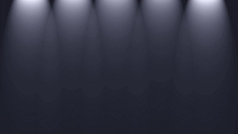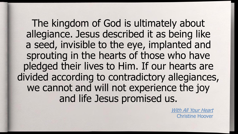The kingdom of God is ultimately about allegiance. Jesus described it as being like a seed, invisible to the eye, implanted and sprouting in the hearts of those who have pledged their lives to Him. If our hearts are divided according to contradictory allegiances, we cannot and will not experience the joy and life Jesus promised us.

> With All Your Heart Christine Hoover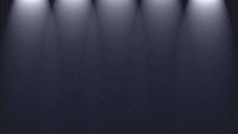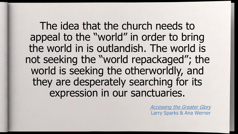The idea that the church needs to appeal to the "world" in order to bring the world in is outlandish. The world is not seeking the "world repackaged"; the world is seeking the otherworldly, and they are desperately searching for its expression in our sanctuaries.

> **Accessing the Greater Glory** Larry Sparks & Ana Werner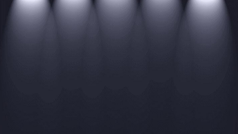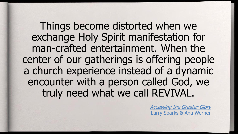Things become distorted when we exchange Holy Spirit manifestation for man-crafted entertainment. When the center of our gatherings is offering people a church experience instead of a dynamic encounter with a person called God, we truly need what we call REVIVAL.

> **Accessing the Greater Glory** Larry Sparks & Ana Werner